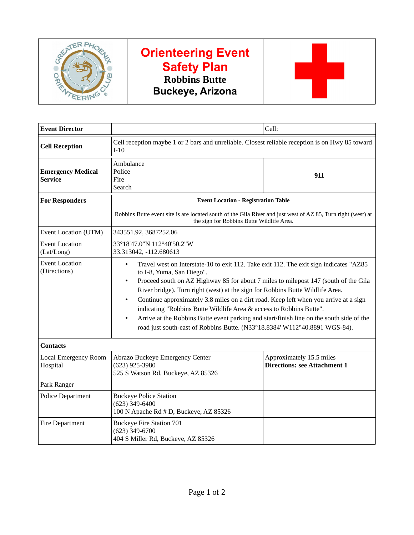

# **Orienteering Event Safety Plan Robbins Butte Buckeye, Arizona**



| <b>Event Director</b>                      |                                                                                                                                                                                                                                                                                                                                                                                                                                                                                                                                                                                                                                                                                          | Cell:                                                           |  |  |
|--------------------------------------------|------------------------------------------------------------------------------------------------------------------------------------------------------------------------------------------------------------------------------------------------------------------------------------------------------------------------------------------------------------------------------------------------------------------------------------------------------------------------------------------------------------------------------------------------------------------------------------------------------------------------------------------------------------------------------------------|-----------------------------------------------------------------|--|--|
| <b>Cell Reception</b>                      | Cell reception maybe 1 or 2 bars and unreliable. Closest reliable reception is on Hwy 85 toward<br>$I-10$                                                                                                                                                                                                                                                                                                                                                                                                                                                                                                                                                                                |                                                                 |  |  |
| <b>Emergency Medical</b><br><b>Service</b> | Ambulance<br>Police<br>Fire<br>Search                                                                                                                                                                                                                                                                                                                                                                                                                                                                                                                                                                                                                                                    | 911                                                             |  |  |
| <b>For Responders</b>                      | <b>Event Location - Registration Table</b>                                                                                                                                                                                                                                                                                                                                                                                                                                                                                                                                                                                                                                               |                                                                 |  |  |
|                                            | Robbins Butte event site is are located south of the Gila River and just west of AZ 85, Turn right (west) at<br>the sign for Robbins Butte Wildlife Area.                                                                                                                                                                                                                                                                                                                                                                                                                                                                                                                                |                                                                 |  |  |
| Event Location (UTM)                       | 343551.92, 3687252.06                                                                                                                                                                                                                                                                                                                                                                                                                                                                                                                                                                                                                                                                    |                                                                 |  |  |
| <b>Event Location</b><br>(Lat/Long)        | 33°18'47.0"N 112°40'50.2"W<br>33.313042, -112.680613                                                                                                                                                                                                                                                                                                                                                                                                                                                                                                                                                                                                                                     |                                                                 |  |  |
| <b>Event Location</b><br>(Directions)      | Travel west on Interstate-10 to exit 112. Take exit 112. The exit sign indicates "AZ85<br>$\bullet$<br>to I-8, Yuma, San Diego".<br>Proceed south on AZ Highway 85 for about 7 miles to milepost 147 (south of the Gila<br>$\bullet$<br>River bridge). Turn right (west) at the sign for Robbins Butte Wildlife Area.<br>Continue approximately 3.8 miles on a dirt road. Keep left when you arrive at a sign<br>$\bullet$<br>indicating "Robbins Butte Wildlife Area & access to Robbins Butte".<br>Arrive at the Robbins Butte event parking and start/finish line on the south side of the<br>$\bullet$<br>road just south-east of Robbins Butte. (N33°18.8384' W112°40.8891 WGS-84). |                                                                 |  |  |
| <b>Contacts</b>                            |                                                                                                                                                                                                                                                                                                                                                                                                                                                                                                                                                                                                                                                                                          |                                                                 |  |  |
| Local Emergency Room<br>Hospital           | Abrazo Buckeye Emergency Center<br>$(623)$ 925-3980<br>525 S Watson Rd, Buckeye, AZ 85326                                                                                                                                                                                                                                                                                                                                                                                                                                                                                                                                                                                                | Approximately 15.5 miles<br><b>Directions: see Attachment 1</b> |  |  |
| Park Ranger                                |                                                                                                                                                                                                                                                                                                                                                                                                                                                                                                                                                                                                                                                                                          |                                                                 |  |  |
| <b>Police Department</b>                   | <b>Buckeye Police Station</b><br>$(623)$ 349-6400<br>100 N Apache Rd # D, Buckeye, AZ 85326                                                                                                                                                                                                                                                                                                                                                                                                                                                                                                                                                                                              |                                                                 |  |  |
| <b>Fire Department</b>                     | <b>Buckeye Fire Station 701</b><br>$(623)$ 349-6700<br>404 S Miller Rd, Buckeye, AZ 85326                                                                                                                                                                                                                                                                                                                                                                                                                                                                                                                                                                                                |                                                                 |  |  |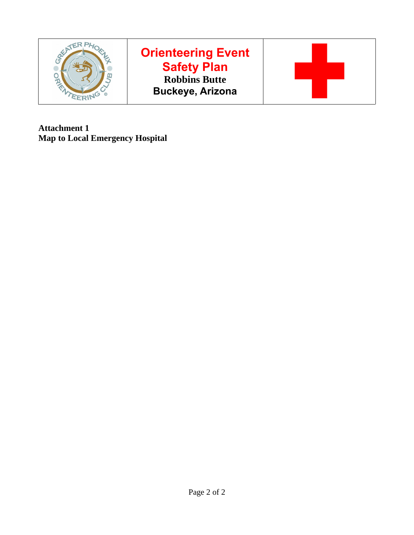

# **Orienteering Event Safety Plan Robbins Butte Buckeye, Arizona**



**Attachment 1 Map to Local Emergency Hospital**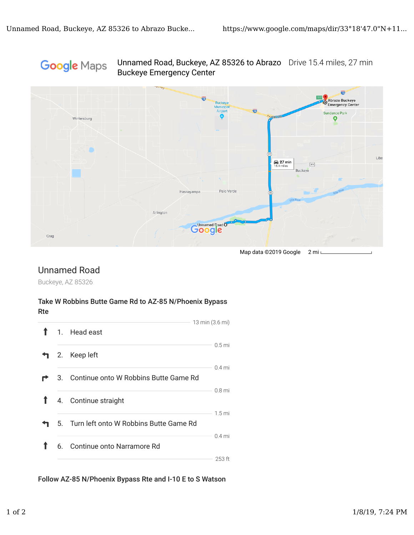## Google Maps





Map data ©2019 Google 2 mi L

## Unnamed Road

Buckeye, AZ 85326

#### Take W Robbins Butte Game Rd to AZ-85 N/Phoenix Bypass Rte

|  |                                           | 13 min (3.6 mi)   |
|--|-------------------------------------------|-------------------|
|  | 1. Head east                              |                   |
|  | 2. Keep left                              | 0.5 <sub>mi</sub> |
|  | 3. Continue onto W Robbins Butte Game Rd  | $0.4$ mi          |
|  | 4. Continue straight                      | 0.8 <sub>mi</sub> |
|  | 5. Turn left onto W Robbins Butte Game Rd | 1.5 <sub>mi</sub> |
|  | 6. Continue onto Narramore Rd             | $0.4$ mi          |
|  |                                           | 253 ft            |

Follow AZ-85 N/Phoenix Bypass Rte and I-10 E to S Watson